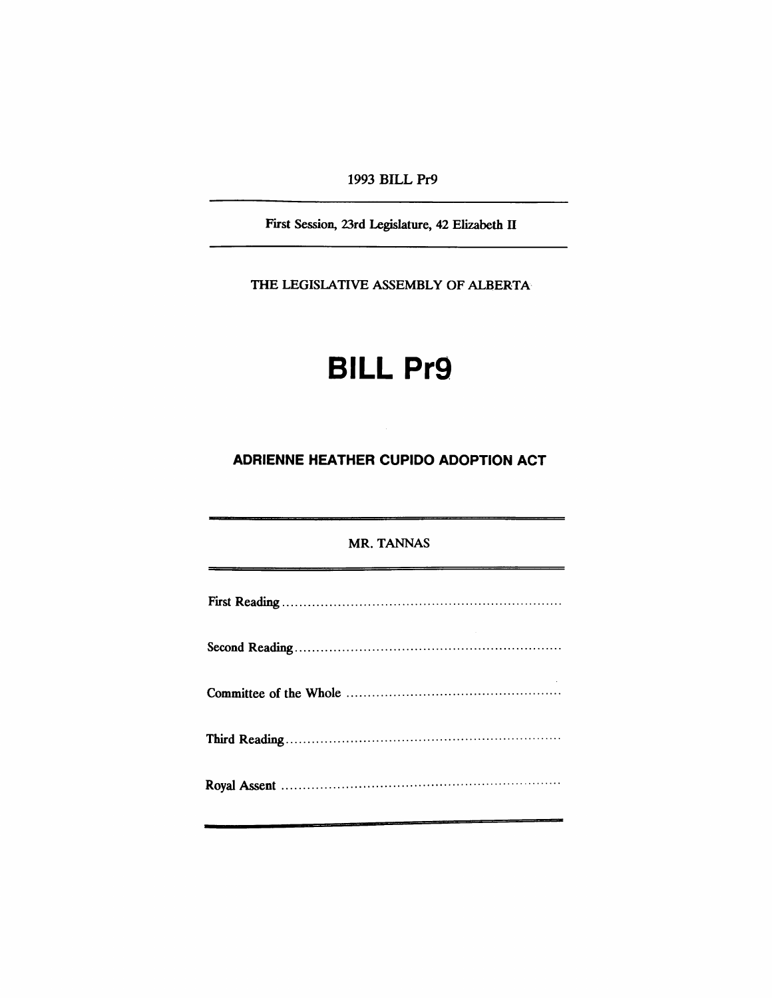1993 BILL Pr9

First Session, 23rd Legislature, 42 Elizabeth II

THE LEGISlATIVE ASSEMBLY OF ALBERTA

# **BILL Pr9**

## **ADRIENNE HEATHER CUPIDO ADOPTION ACT**

#### MR. TANNAS